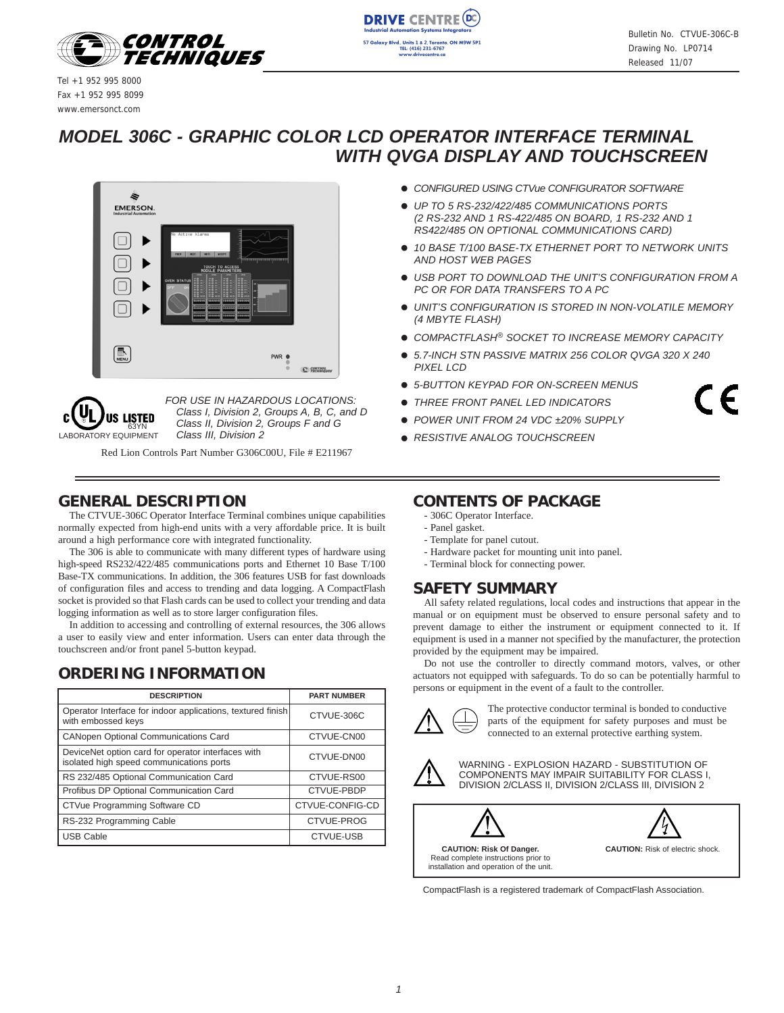

**DRIVE CENTRE (DC** on Sy: Blvd., Units 1 & 2. Toronto, ON M9W 5P. TEL: (416) 231-6767<br>www.drivecentre.co

Tel +1 952 995 8000 Fax +1 952 995 8099 www.emersonct.com

## *MODEL 306C - GRAPHIC COLOR LCD OPERATOR INTERFACE TERMINAL WITH QVGA DISPLAY AND TOUCHSCREEN*





*FOR USE IN HAZARDOUS LOCATIONS: Class I, Division 2, Groups A, B, C, and D Class II, Division 2, Groups F and G* <sub>63YN</sub> Class II, Division 2,<br>JIPMENT Class III, Division 2

Red Lion Controls Part Number G306C00U, File # E211967

## **GENERAL DESCRIPTION**

The CTVUE-306C Operator Interface Terminal combines unique capabilities normally expected from high-end units with a very affordable price. It is built around a high performance core with integrated functionality.

The 306 is able to communicate with many different types of hardware using high-speed RS232/422/485 communications ports and Ethernet 10 Base T/100 Base-TX communications. In addition, the 306 features USB for fast downloads of configuration files and access to trending and data logging. A CompactFlash socket is provided so that Flash cards can be used to collect your trending and data logging information as well as to store larger configuration files.

In addition to accessing and controlling of external resources, the 306 allows a user to easily view and enter information. Users can enter data through the touchscreen and/or front panel 5-button keypad.

## **ORDERING INFORMATION**

| <b>DESCRIPTION</b>                                                                             | <b>PART NUMBER</b> |
|------------------------------------------------------------------------------------------------|--------------------|
| Operator Interface for indoor applications, textured finish<br>with embossed keys              | CTVUE-306C         |
| <b>CANopen Optional Communications Card</b>                                                    | CTVUE-CN00         |
| DeviceNet option card for operator interfaces with<br>isolated high speed communications ports | CTVUE-DN00         |
| RS 232/485 Optional Communication Card                                                         | CTVUE-RS00         |
| Profibus DP Optional Communication Card                                                        | CTVUE-PBDP         |
| CTVue Programming Software CD                                                                  | CTVUE-CONFIG-CD    |
| RS-232 Programming Cable                                                                       | CTVUE-PROG         |
| <b>USB Cable</b>                                                                               | <b>CTVUE-USB</b>   |

- ! *CONFIGURED USING CTVue CONFIGURATOR SOFTWARE*
- ! *UP TO 5 RS-232/422/485 COMMUNICATIONS PORTS (2 RS-232 AND 1 RS-422/485 ON BOARD, 1 RS-232 AND 1 RS422/485 ON OPTIONAL COMMUNICATIONS CARD)*
- ! *10 BASE T/100 BASE-TX ETHERNET PORT TO NETWORK UNITS AND HOST WEB PAGES*
- ! *USB PORT TO DOWNLOAD THE UNIT'S CONFIGURATION FROM A PC OR FOR DATA TRANSFERS TO A PC*
- ! *UNIT'S CONFIGURATION IS STORED IN NON-VOLATILE MEMORY (4 MBYTE FLASH)*
- ! *COMPACTFLASH® SOCKET TO INCREASE MEMORY CAPACITY*
- ! *5.7-INCH STN PASSIVE MATRIX 256 COLOR QVGA 320 X 240 PIXEL LCD*
- ! *5-BUTTON KEYPAD FOR ON-SCREEN MENUS*
- ! *THREE FRONT PANEL LED INDICATORS*
- ! *POWER UNIT FROM 24 VDC ±20% SUPPLY*
- ! *RESISTIVE ANALOG TOUCHSCREEN*

## **CONTENTS OF PACKAGE**

- 306C Operator Interface.
- Panel gasket.
- Template for panel cutout.
- Hardware packet for mounting unit into panel.
- Terminal block for connecting power.

## **SAFETY SUMMARY**

All safety related regulations, local codes and instructions that appear in the manual or on equipment must be observed to ensure personal safety and to prevent damage to either the instrument or equipment connected to it. If equipment is used in a manner not specified by the manufacturer, the protection provided by the equipment may be impaired.

Do not use the controller to directly command motors, valves, or other actuators not equipped with safeguards. To do so can be potentially harmful to persons or equipment in the event of a fault to the controller.



The protective conductor terminal is bonded to conductive parts of the equipment for safety purposes and must be connected to an external protective earthing system.



WARNING - EXPLOSION HAZARD - SUBSTITUTION OF COMPONENTS MAY IMPAIR SUITABILITY FOR CLASS I, DIVISION 2/CLASS II, DIVISION 2/CLASS III, DIVISION 2



CompactFlash is a registered trademark of CompactFlash Association.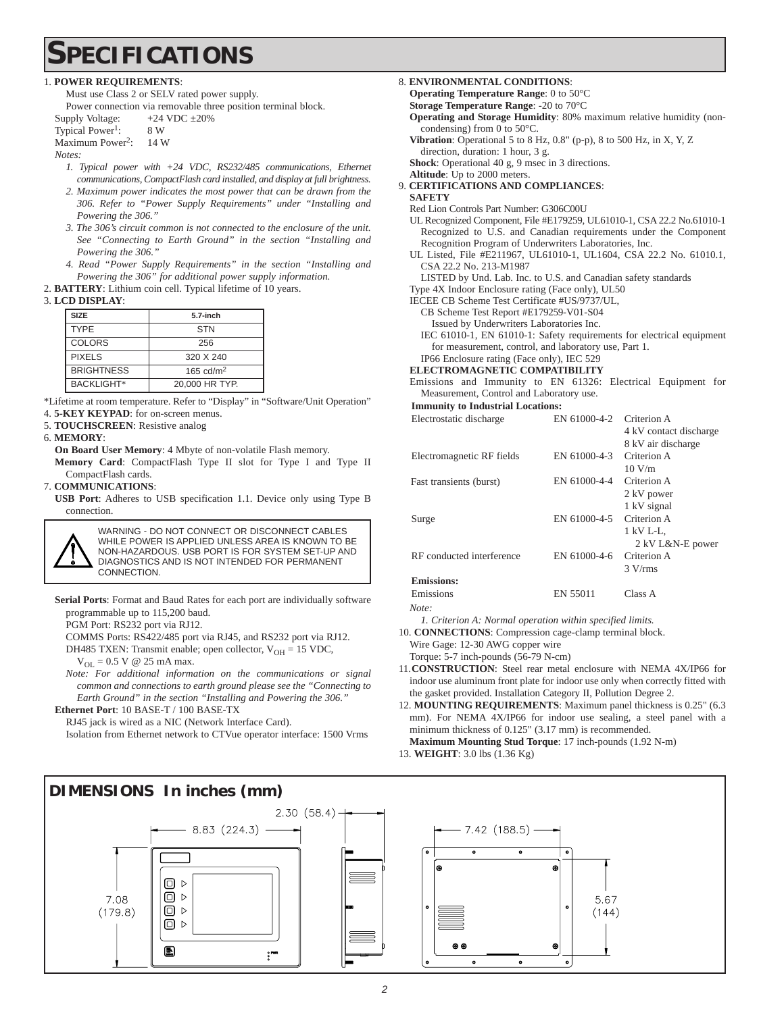## **SPECIFICATIONS**

#### 1. **POWER REQUIREMENTS**:

Must use Class 2 or SELV rated power supply.

Power connection via removable three position terminal block.

- Supply Voltage:  $+24$  VDC  $\pm 20\%$ Typical Power<sup>1</sup>: 8 W
- Maximum Power<sup>2</sup>: 14 W

*Notes:* 

- *1. Typical power with +24 VDC, RS232/485 communications, Ethernet communications, CompactFlash card installed, and display at full brightness.*
- *2. Maximum power indicates the most power that can be drawn from the 306. Refer to "Power Supply Requirements" under "Installing and Powering the 306."*
- *3. The 306's circuit common is not connected to the enclosure of the unit. See "Connecting to Earth Ground" in the section "Installing and Powering the 306."*
- *4. Read "Power Supply Requirements" in the section "Installing and Powering the 306" for additional power supply information.*
- 2. **BATTERY**: Lithium coin cell. Typical lifetime of 10 years.

#### 3. **LCD DISPLAY**:

| <b>SIZE</b>       | 5.7-inch       |
|-------------------|----------------|
| <b>TYPE</b>       | <b>STN</b>     |
| <b>COLORS</b>     | 256            |
| <b>PIXELS</b>     | 320 X 240      |
| <b>BRIGHTNESS</b> | 165 cd/ $m2$   |
| <b>BACKLIGHT*</b> | 20,000 HR TYP. |

\*Lifetime at room temperature. Refer to "Display" in "Software/Unit Operation"

4. **5-KEY KEYPAD**: for on-screen menus.

5. **TOUCHSCREEN**: Resistive analog

#### 6. **MEMORY**:

**On Board User Memory**: 4 Mbyte of non-volatile Flash memory. **Memory Card**: CompactFlash Type II slot for Type I and Type II CompactFlash cards.

7. **COMMUNICATIONS**:

**USB Port**: Adheres to USB specification 1.1. Device only using Type B connection.



**Serial Ports**: Format and Baud Rates for each port are individually software programmable up to 115,200 baud.

PGM Port: RS232 port via RJ12.

COMMS Ports: RS422/485 port via RJ45, and RS232 port via RJ12.

DH485 TXEN: Transmit enable; open collector,  $V_{OH} = 15$  VDC,

 $V_{\text{OL}} = 0.5 \text{ V} \ @ \ 25 \text{ mA max}.$ 

*Note: For additional information on the communications or signal common and connections to earth ground please see the "Connecting to Earth Ground" in the section "Installing and Powering the 306."*

**Ethernet Port**: 10 BASE-T / 100 BASE-TX

RJ45 jack is wired as a NIC (Network Interface Card).

Isolation from Ethernet network to CTVue operator interface: 1500 Vrms

8. **ENVIRONMENTAL CONDITIONS**:

**Operating Temperature Range**: 0 to 50°C

**Storage Temperature Range**: -20 to 70°C

- **Operating and Storage Humidity**: 80% maximum relative humidity (noncondensing) from 0 to 50°C.
- **Vibration**: Operational 5 to 8 Hz, 0.8" (p-p), 8 to 500 Hz, in X, Y, Z direction, duration: 1 hour, 3 g.

**Shock**: Operational 40 g, 9 msec in 3 directions.

- **Altitude**: Up to 2000 meters. 9. **CERTIFICATIONS AND COMPLIANCES**:
- **SAFETY**
	- Red Lion Controls Part Number: G306C00U
	- UL Recognized Component, File #E179259, UL61010-1, CSA 22.2 No.61010-1 Recognized to U.S. and Canadian requirements under the Component Recognition Program of Underwriters Laboratories, Inc.
	- UL Listed, File #E211967, UL61010-1, UL1604, CSA 22.2 No. 61010.1, CSA 22.2 No. 213-M1987

LISTED by Und. Lab. Inc. to U.S. and Canadian safety standards

Type 4X Indoor Enclosure rating (Face only), UL50

IECEE CB Scheme Test Certificate #US/9737/UL,

- CB Scheme Test Report #E179259-V01-S04
- Issued by Underwriters Laboratories Inc. IEC 61010-1, EN 61010-1: Safety requirements for electrical equipment for measurement, control, and laboratory use, Part 1.

IP66 Enclosure rating (Face only), IEC 529

#### **ELECTROMAGNETIC COMPATIBILITY**

Emissions and Immunity to EN 61326: Electrical Equipment for Measurement, Control and Laboratory use.

**Immunity to Industrial Locations:**

| Electrostatic discharge   | EN 61000-4-2 | Criterion A            |
|---------------------------|--------------|------------------------|
|                           |              | 4 kV contact discharge |
|                           |              | 8 kV air discharge     |
| Electromagnetic RF fields | EN 61000-4-3 | Criterion A            |
|                           |              | 10 V/m                 |
| Fast transients (burst)   | EN 61000-4-4 | Criterion A            |
|                           |              | 2 kV power             |
|                           |              | 1 kV signal            |
| Surge                     | EN 61000-4-5 | Criterion A            |
|                           |              | 1 kV L-L,              |
|                           |              | 2 kV L&N-E power       |
| RF conducted interference | EN 61000-4-6 | Criterion A            |
|                           |              | $3 \text{ V/rms}$      |
| <b>Emissions:</b>         |              |                        |
| Emissions                 | EN 55011     | Class A                |

*Note:*

*1. Criterion A: Normal operation within specified limits.*

10. **CONNECTIONS**: Compression cage-clamp terminal block.

Wire Gage: 12-30 AWG copper wire Torque: 5-7 inch-pounds (56-79 N-cm)

11.**CONSTRUCTION**: Steel rear metal enclosure with NEMA 4X/IP66 for indoor use aluminum front plate for indoor use only when correctly fitted with

the gasket provided. Installation Category II, Pollution Degree 2. 12. **MOUNTING REQUIREMENTS**: Maximum panel thickness is 0.25" (6.3

mm). For NEMA 4X/IP66 for indoor use sealing, a steel panel with a minimum thickness of 0.125" (3.17 mm) is recommended.

5.67

 $(144)$ 

**Maximum Mounting Stud Torque**: 17 inch-pounds (1.92 N-m) 13. **WEIGHT**: 3.0 lbs (1.36 Kg)

**DIMENSIONS In inches (mm)**  $2.30(58.4)$  $8.83(224.3)$ 7.42 (188.5) ॄ © ⊳  $\Box$ 7.08  $\Box$   $\triangleright$  $(179.8)$  $\textcircled{\scriptsize{1}}$  $\bullet$ O  $\frac{1}{2}$  $\ddot{\phantom{0}}$  $\circ$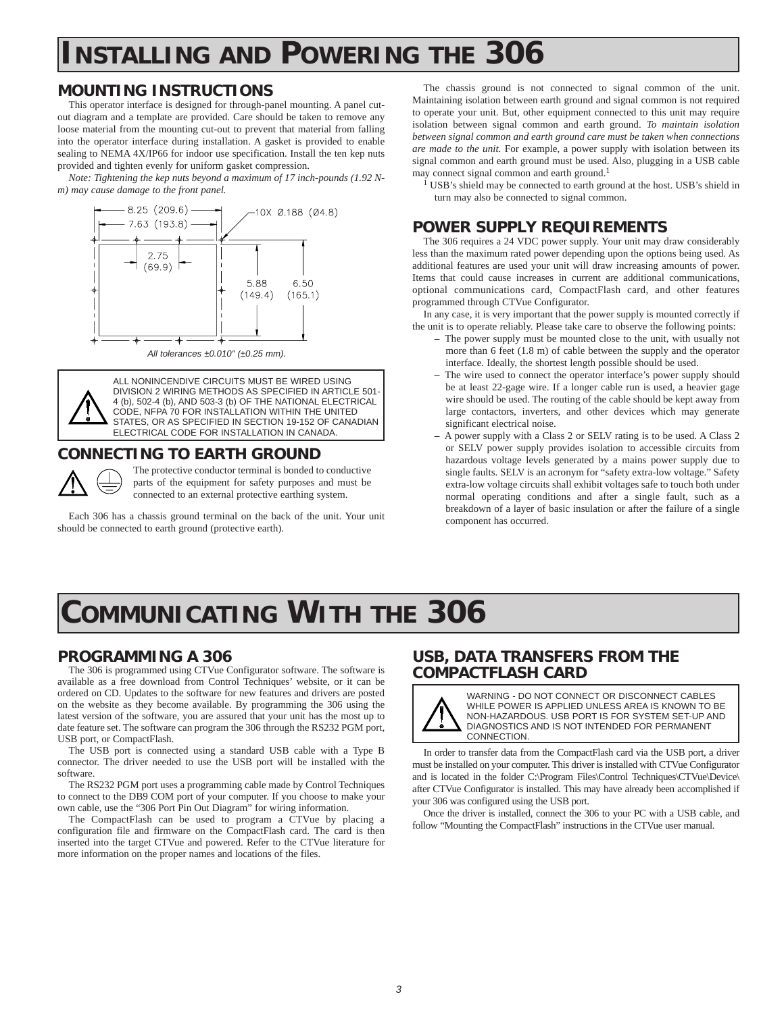# **INSTALLING AND POWERING THE 306**

## **MOUNTING INSTRUCTIONS**

This operator interface is designed for through-panel mounting. A panel cutout diagram and a template are provided. Care should be taken to remove any loose material from the mounting cut-out to prevent that material from falling into the operator interface during installation. A gasket is provided to enable sealing to NEMA 4X/IP66 for indoor use specification. Install the ten kep nuts provided and tighten evenly for uniform gasket compression.

*Note: Tightening the kep nuts beyond a maximum of 17 inch-pounds (1.92 Nm) may cause damage to the front panel.*



*All tolerances ±0.010" (±0.25 mm).*

ALL NONINCENDIVE CIRCUITS MUST BE WIRED USING DIVISION 2 WIRING METHODS AS SPECIFIED IN ARTICLE 501- 4 (b), 502-4 (b), AND 503-3 (b) OF THE NATIONAL ELECTRICAL CODE, NFPA 70 FOR INSTALLATION WITHIN THE UNITED STATES, OR AS SPECIFIED IN SECTION 19-152 OF CANADIAN ELECTRICAL CODE FOR INSTALLATION IN CANADA.

## **CONNECTING TO EARTH GROUND**



The protective conductor terminal is bonded to conductive parts of the equipment for safety purposes and must be connected to an external protective earthing system.

Each 306 has a chassis ground terminal on the back of the unit. Your unit should be connected to earth ground (protective earth).

The chassis ground is not connected to signal common of the unit. Maintaining isolation between earth ground and signal common is not required to operate your unit. But, other equipment connected to this unit may require isolation between signal common and earth ground. *To maintain isolation between signal common and earth ground care must be taken when connections are made to the unit.* For example, a power supply with isolation between its signal common and earth ground must be used. Also, plugging in a USB cable may connect signal common and earth ground.<sup>1</sup>

 $1$  USB's shield may be connected to earth ground at the host. USB's shield in turn may also be connected to signal common.

## **POWER SUPPLY REQUIREMENTS**

The 306 requires a 24 VDC power supply. Your unit may draw considerably less than the maximum rated power depending upon the options being used. As additional features are used your unit will draw increasing amounts of power. Items that could cause increases in current are additional communications, optional communications card, CompactFlash card, and other features programmed through CTVue Configurator.

In any case, it is very important that the power supply is mounted correctly if the unit is to operate reliably. Please take care to observe the following points:

- **–** The power supply must be mounted close to the unit, with usually not more than 6 feet (1.8 m) of cable between the supply and the operator interface. Ideally, the shortest length possible should be used.
- The wire used to connect the operator interface's power supply should be at least 22-gage wire. If a longer cable run is used, a heavier gage wire should be used. The routing of the cable should be kept away from large contactors, inverters, and other devices which may generate significant electrical noise.
- **–** A power supply with a Class 2 or SELV rating is to be used. A Class 2 or SELV power supply provides isolation to accessible circuits from hazardous voltage levels generated by a mains power supply due to single faults. SELV is an acronym for "safety extra-low voltage." Safety extra-low voltage circuits shall exhibit voltages safe to touch both under normal operating conditions and after a single fault, such as a breakdown of a layer of basic insulation or after the failure of a single component has occurred.

# **COMMUNICATING WITH THE 306**

## **PROGRAMMING A 306**

The 306 is programmed using CTVue Configurator software. The software is available as a free download from Control Techniques' website, or it can be ordered on CD. Updates to the software for new features and drivers are posted on the website as they become available. By programming the 306 using the latest version of the software, you are assured that your unit has the most up to date feature set. The software can program the 306 through the RS232 PGM port, USB port, or CompactFlash.

The USB port is connected using a standard USB cable with a Type B connector. The driver needed to use the USB port will be installed with the software.

The RS232 PGM port uses a programming cable made by Control Techniques to connect to the DB9 COM port of your computer. If you choose to make your own cable, use the "306 Port Pin Out Diagram" for wiring information.

The CompactFlash can be used to program a CTVue by placing a configuration file and firmware on the CompactFlash card. The card is then inserted into the target CTVue and powered. Refer to the CTVue literature for more information on the proper names and locations of the files.

## **USB, DATA TRANSFERS FROM THE COMPACTFLASH CARD**



WARNING - DO NOT CONNECT OR DISCONNECT CABLES WHILE POWER IS APPLIED UNLESS AREA IS KNOWN TO BE NON-HAZARDOUS. USB PORT IS FOR SYSTEM SET-UP AND DIAGNOSTICS AND IS NOT INTENDED FOR PERMANENT CONNECTION.

In order to transfer data from the CompactFlash card via the USB port, a driver must be installed on your computer. This driver is installed with CTVue Configurator and is located in the folder C:\Program Files\Control Techniques\CTVue\Device\ after CTVue Configurator is installed. This may have already been accomplished if your 306 was configured using the USB port.

Once the driver is installed, connect the 306 to your PC with a USB cable, and follow "Mounting the CompactFlash" instructions in the CTVue user manual.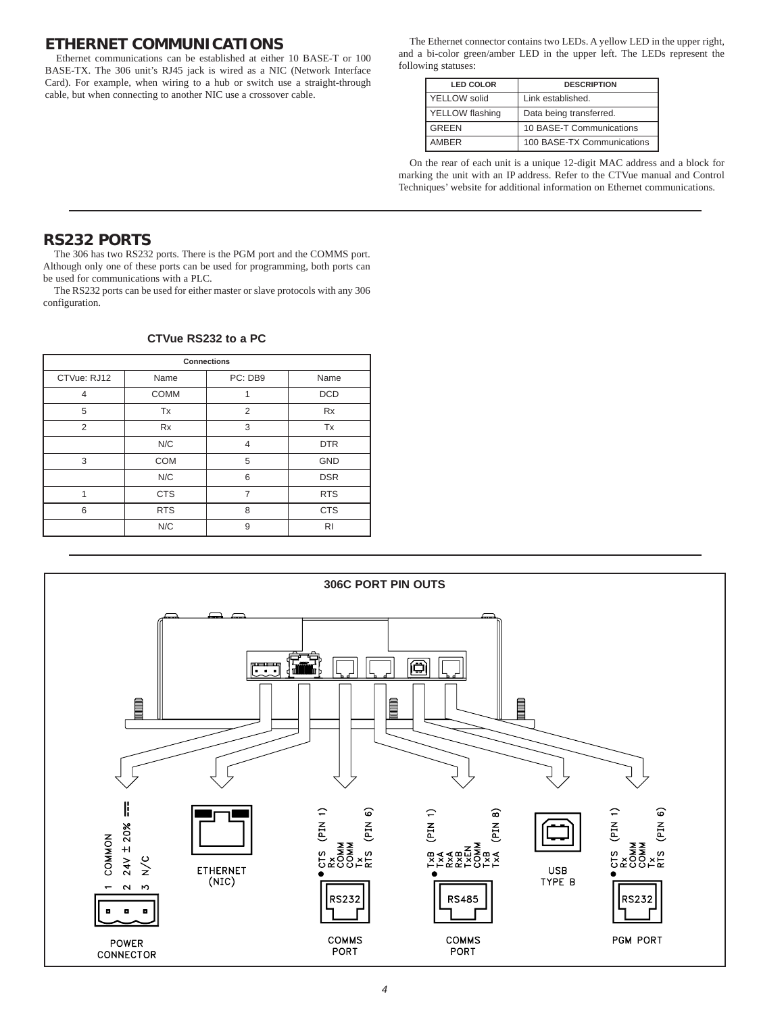## **ETHERNET COMMUNICATIONS**

Ethernet communications can be established at either 10 BASE-T or 100 BASE-TX. The 306 unit's RJ45 jack is wired as a NIC (Network Interface Card). For example, when wiring to a hub or switch use a straight-through cable, but when connecting to another NIC use a crossover cable.

The Ethernet connector contains two LEDs. A yellow LED in the upper right, and a bi-color green/amber LED in the upper left. The LEDs represent the following statuses:

| <b>LED COLOR</b> | <b>DESCRIPTION</b>         |
|------------------|----------------------------|
| YELLOW solid     | Link established.          |
| YELLOW flashing  | Data being transferred.    |
| <b>GREEN</b>     | 10 BASE-T Communications   |
| <b>AMBER</b>     | 100 BASE-TX Communications |

On the rear of each unit is a unique 12-digit MAC address and a block for marking the unit with an IP address. Refer to the CTVue manual and Control Techniques' website for additional information on Ethernet communications.

## **RS232 PORTS**

The 306 has two RS232 ports. There is the PGM port and the COMMS port. Although only one of these ports can be used for programming, both ports can be used for communications with a PLC.

The RS232 ports can be used for either master or slave protocols with any 306 configuration.

| <b>Connections</b> |             |                |            |
|--------------------|-------------|----------------|------------|
| CTVue: RJ12        | Name        | PC: DB9        | Name       |
| 4                  | <b>COMM</b> | 1              | <b>DCD</b> |
| 5                  | Tx          | 2              | Rx         |
| 2                  | Rx          | 3              | Tx         |
|                    | N/C         | $\overline{4}$ | <b>DTR</b> |
| 3                  | <b>COM</b>  | 5              | <b>GND</b> |
|                    | N/C         | 6              | <b>DSR</b> |
| 1                  | <b>CTS</b>  | $\overline{7}$ | <b>RTS</b> |
| 6                  | <b>RTS</b>  | 8              | <b>CTS</b> |
|                    | N/C         | 9              | <b>RI</b>  |

#### **CTVue RS232 to a PC**

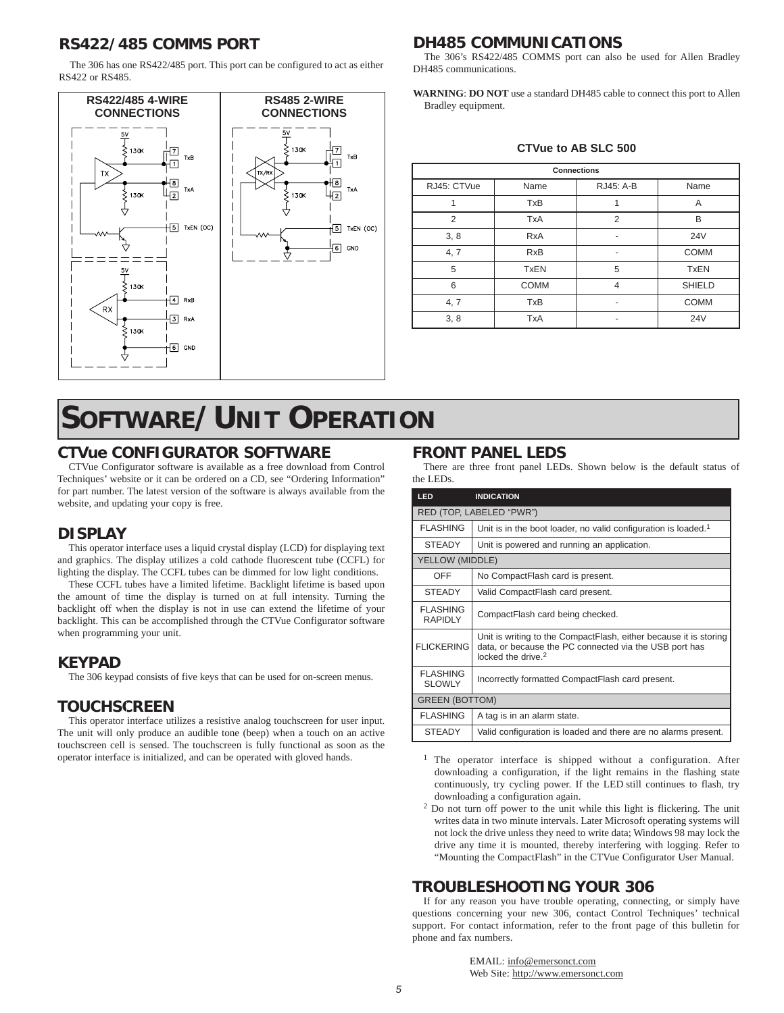## **RS422/485 COMMS PORT**

The 306 has one RS422/485 port. This port can be configured to act as either RS422 or RS485.



# **SOFTWARE/UNIT OPERATION**

## **CTVue CONFIGURATOR SOFTWARE**

CTVue Configurator software is available as a free download from Control Techniques' website or it can be ordered on a CD, see "Ordering Information" for part number. The latest version of the software is always available from the website, and updating your copy is free.

## **DISPLAY**

This operator interface uses a liquid crystal display (LCD) for displaying text and graphics. The display utilizes a cold cathode fluorescent tube (CCFL) for lighting the display. The CCFL tubes can be dimmed for low light conditions.

These CCFL tubes have a limited lifetime. Backlight lifetime is based upon the amount of time the display is turned on at full intensity. Turning the backlight off when the display is not in use can extend the lifetime of your backlight. This can be accomplished through the CTVue Configurator software when programming your unit.

## **KEYPAD**

The 306 keypad consists of five keys that can be used for on-screen menus.

## **TOUCHSCREEN**

This operator interface utilizes a resistive analog touchscreen for user input. The unit will only produce an audible tone (beep) when a touch on an active touchscreen cell is sensed. The touchscreen is fully functional as soon as the operator interface is initialized, and can be operated with gloved hands.

## **DH485 COMMUNICATIONS**

The 306's RS422/485 COMMS port can also be used for Allen Bradley DH485 communications.

**WARNING**: **DO NOT** use a standard DH485 cable to connect this port to Allen Bradley equipment.

#### **CTVue to AB SLC 500**

| <b>Connections</b> |             |                |               |
|--------------------|-------------|----------------|---------------|
| RJ45: CTVue        | Name        | RJ45: A-B      | Name          |
| 1                  | <b>TxB</b>  | 1              | A             |
| 2                  | <b>TxA</b>  | 2              | B             |
| 3, 8               | <b>RxA</b>  |                | <b>24V</b>    |
| 4, 7               | <b>RxB</b>  |                | <b>COMM</b>   |
| 5                  | <b>TxEN</b> | 5              | <b>TxEN</b>   |
| 6                  | <b>COMM</b> | $\overline{4}$ | <b>SHIELD</b> |
| 4, 7               | <b>TxB</b>  |                | <b>COMM</b>   |
| 3, 8               | <b>TxA</b>  |                | <b>24V</b>    |

## **FRONT PANEL LEDS**

There are three front panel LEDs. Shown below is the default status of the LEDs.

| LED                               | <b>INDICATION</b>                                                                                                                                             |
|-----------------------------------|---------------------------------------------------------------------------------------------------------------------------------------------------------------|
|                                   | RED (TOP, LABELED "PWR")                                                                                                                                      |
| <b>FLASHING</b>                   | Unit is in the boot loader, no valid configuration is loaded. <sup>1</sup>                                                                                    |
| <b>STEADY</b>                     | Unit is powered and running an application.                                                                                                                   |
| YELLOW (MIDDLE)                   |                                                                                                                                                               |
| OFF                               | No CompactFlash card is present.                                                                                                                              |
| <b>STEADY</b>                     | Valid CompactFlash card present.                                                                                                                              |
| <b>FLASHING</b><br><b>RAPIDLY</b> | CompactFlash card being checked.                                                                                                                              |
| <b>FLICKERING</b>                 | Unit is writing to the CompactFlash, either because it is storing<br>data, or because the PC connected via the USB port has<br>locked the drive. <sup>2</sup> |
| <b>FLASHING</b><br><b>SLOWLY</b>  | Incorrectly formatted CompactFlash card present.                                                                                                              |
| <b>GREEN (BOTTOM)</b>             |                                                                                                                                                               |
| <b>FLASHING</b>                   | A tag is in an alarm state.                                                                                                                                   |
| <b>STEADY</b>                     | Valid configuration is loaded and there are no alarms present.                                                                                                |

- <sup>1</sup> The operator interface is shipped without a configuration. After downloading a configuration, if the light remains in the flashing state continuously, try cycling power. If the LED still continues to flash, try downloading a configuration again.
- <sup>2</sup> Do not turn off power to the unit while this light is flickering. The unit writes data in two minute intervals. Later Microsoft operating systems will not lock the drive unless they need to write data; Windows 98 may lock the drive any time it is mounted, thereby interfering with logging. Refer to "Mounting the CompactFlash" in the CTVue Configurator User Manual.

## **TROUBLESHOOTING YOUR 306**

If for any reason you have trouble operating, connecting, or simply have questions concerning your new 306, contact Control Techniques' technical support. For contact information, refer to the front page of this bulletin for phone and fax numbers.

> EMAIL: info@emersonct.com Web Site: http://www.emersonct.com